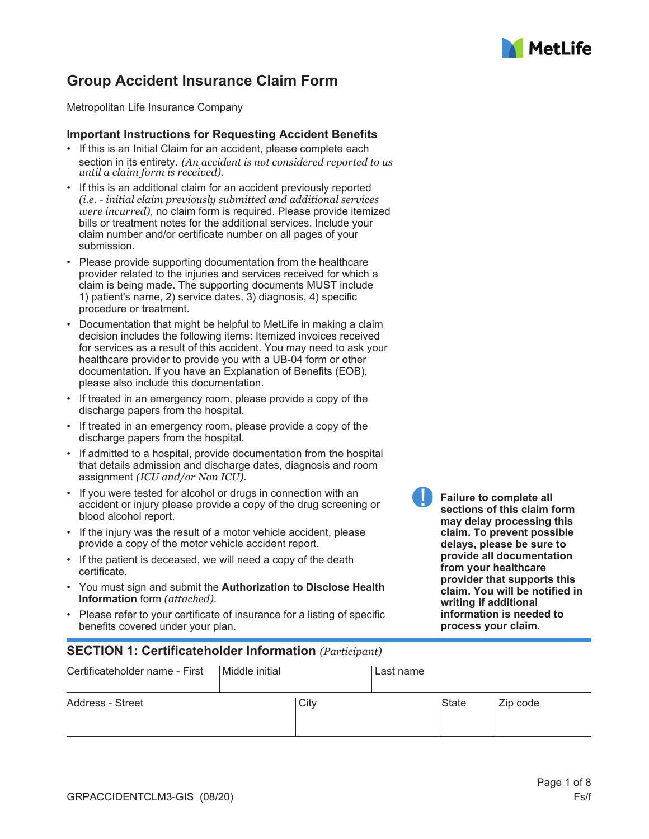

# **Group Accident Insurance Claim Form**

Metropolitan Life Insurance Company

#### **Important Instructions for Requesting Accident Benefits**

- If this is an Initial Claim for an accident, please complete each section in its entirety. *(An accident is not considered reported to us until a claim form is received).*
- If this is an additional claim for an accident previously reported *(i.e. - initial claim previously submitted and additional services were incurred)*, no claim form is required. Please provide itemized bills or treatment notes for the additional services. Include your claim number and/or certificate number on all pages of your submission.
- Please provide supporting documentation from the healthcare provider related to the injuries and services received for which a claim is being made. The supporting documents MUST include 1) patient's name, 2) service dates, 3) diagnosis, 4) specific procedure or treatment.
- Documentation that might be helpful to MetLife in making a claim decision includes the following items: Itemized invoices received for services as a result of this accident. You may need to ask your healthcare provider to provide you with a UB-04 form or other documentation. If you have an Explanation of Benefits (EOB), please also include this documentation.
- If treated in an emergency room, please provide a copy of the discharge papers from the hospital.
- If treated in an emergency room, please provide a copy of the discharge papers from the hospital.
- If admitted to a hospital, provide documentation from the hospital that details admission and discharge dates, diagnosis and room assignment *(ICU and/or Non ICU)*.
- If you were tested for alcohol or drugs in connection with an accident or injury please provide a copy of the drug screening or blood alcohol report.
- If the injury was the result of a motor vehicle accident, please provide a copy of the motor vehicle accident report.
- If the patient is deceased, we will need a copy of the death certificate.
- You must sign and submit the **Authorization to Disclose Health Information** form *(attached)*.
- Please refer to your certificate of insurance for a listing of specific benefits covered under your plan.

### **SECTION 1: Certificateholder Information** *(Participant)*

| Certificateholder name - First | Middle initial | l Last name |          |
|--------------------------------|----------------|-------------|----------|
| Address - Street               | City           | State       | Zip code |

**Failure to complete all sections of this claim form may delay processing this claim. To prevent possible delays, please be sure to provide all documentation from your healthcare provider that supports this claim. You will be notified in writing if additional information is needed to process your claim.**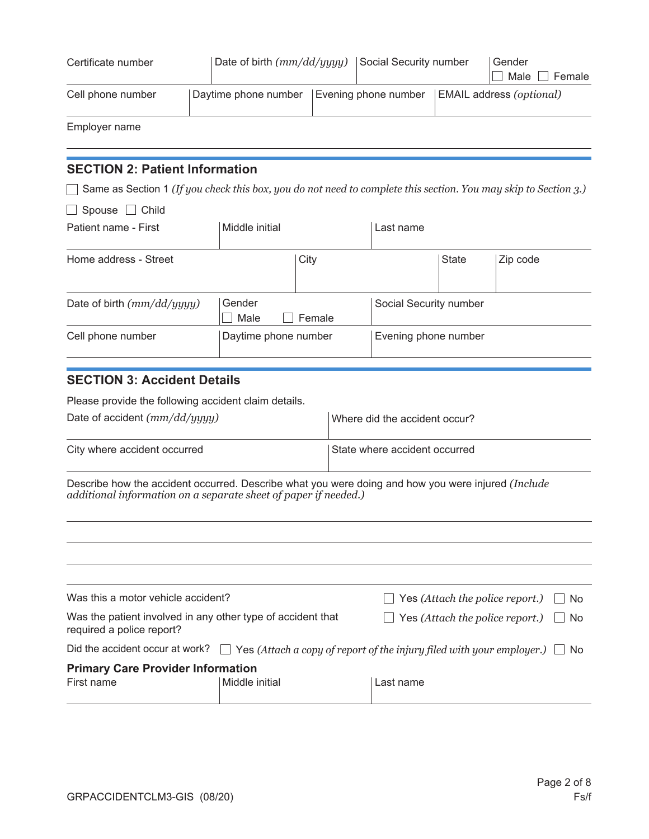| Certificate number                                                                                              | Date of birth (mm/dd/yyyy) |        | Social Security number        |              | Gender<br>Male<br>Female        |
|-----------------------------------------------------------------------------------------------------------------|----------------------------|--------|-------------------------------|--------------|---------------------------------|
| Cell phone number                                                                                               | Daytime phone number       |        | Evening phone number          |              | <b>EMAIL address (optional)</b> |
| Employer name                                                                                                   |                            |        |                               |              |                                 |
| <b>SECTION 2: Patient Information</b>                                                                           |                            |        |                               |              |                                 |
| Same as Section 1 (If you check this box, you do not need to complete this section. You may skip to Section 3.) |                            |        |                               |              |                                 |
| Spouse $\Box$ Child                                                                                             |                            |        |                               |              |                                 |
| Patient name - First                                                                                            | Middle initial             |        | Last name                     |              |                                 |
| Home address - Street                                                                                           |                            | City   |                               | <b>State</b> | Zip code                        |
| Date of birth $(mm/dd/yyyy)$                                                                                    | Gender<br>Male             | Female | Social Security number        |              |                                 |
| Cell phone number                                                                                               | Daytime phone number       |        | Evening phone number          |              |                                 |
| <b>SECTION 3: Accident Details</b>                                                                              |                            |        |                               |              |                                 |
| Please provide the following accident claim details.                                                            |                            |        |                               |              |                                 |
| Date of accident $(mm/dd/uyuyy)$                                                                                |                            |        | Where did the accident occur? |              |                                 |

| .                            |                               |
|------------------------------|-------------------------------|
| City where accident occurred | State where accident occurred |

Describe how the accident occurred. Describe what you were doing and how you were injured *(Include additional information on a separate sheet of paper if needed.)*

| Was this a motor vehicle accident?                                                       |                | $\Box$ Yes (Attach the police report.)<br>∣No                                                                          |  |
|------------------------------------------------------------------------------------------|----------------|------------------------------------------------------------------------------------------------------------------------|--|
| Was the patient involved in any other type of accident that<br>required a police report? |                | $\Box$ Yes (Attach the police report.)<br>$\Box$ No                                                                    |  |
|                                                                                          |                | Did the accident occur at work? $\Box$ Yes (Attach a copy of report of the injury filed with your employer.) $\Box$ No |  |
| <b>Primary Care Provider Information</b>                                                 |                |                                                                                                                        |  |
| First name                                                                               | Middle initial | Last name                                                                                                              |  |
|                                                                                          |                |                                                                                                                        |  |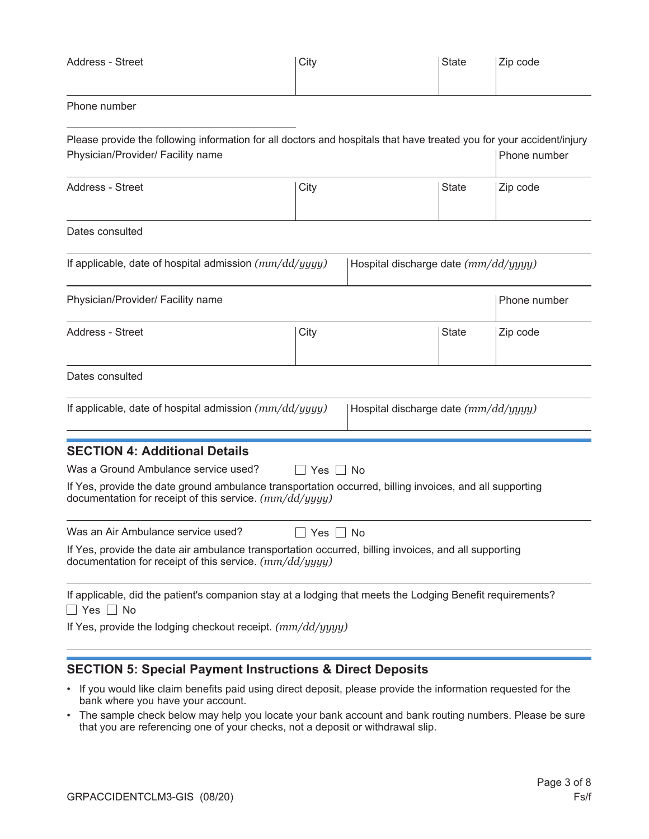| Address - Street | City | State | Zip code |
|------------------|------|-------|----------|
|                  |      |       |          |

### Phone number

| Please provide the following information for all doctors and hospitals that have treated you for your accident/injury<br>Physician/Provider/ Facility name           |                      |                                      | Phone number |
|----------------------------------------------------------------------------------------------------------------------------------------------------------------------|----------------------|--------------------------------------|--------------|
| Address - Street                                                                                                                                                     | City                 | State                                | Zip code     |
| Dates consulted                                                                                                                                                      |                      |                                      |              |
| If applicable, date of hospital admission $(mm/dd/yyyy)$                                                                                                             |                      | Hospital discharge date (mm/dd/yyyy) |              |
| Physician/Provider/ Facility name                                                                                                                                    |                      |                                      | Phone number |
| Address - Street                                                                                                                                                     | City                 | <b>State</b>                         | Zip code     |
| Dates consulted                                                                                                                                                      |                      |                                      |              |
| If applicable, date of hospital admission (mm/dd/yyyy)                                                                                                               |                      | Hospital discharge date (mm/dd/yyyy) |              |
| <b>SECTION 4: Additional Details</b>                                                                                                                                 |                      |                                      |              |
| Was a Ground Ambulance service used?                                                                                                                                 | Yes     No           |                                      |              |
| If Yes, provide the date ground ambulance transportation occurred, billing invoices, and all supporting<br>documentation for receipt of this service. $(mm/dd/yyyy)$ |                      |                                      |              |
| Was an Air Ambulance service used?                                                                                                                                   | $\Box$ Yes $\Box$ No |                                      |              |
| If Yes, provide the date air ambulance transportation occurred, billing invoices, and all supporting<br>documentation for receipt of this service. $(mm/dd/yyyy)$    |                      |                                      |              |
| If applicable, did the patient's companion stay at a lodging that meets the Lodging Benefit requirements?<br>$\Box$ Yes $\Box$ No                                    |                      |                                      |              |

## **SECTION 5: Special Payment Instructions & Direct Deposits**

- If you would like claim benefits paid using direct deposit, please provide the information requested for the bank where you have your account.
- The sample check below may help you locate your bank account and bank routing numbers. Please be sure that you are referencing one of your checks, not a deposit or withdrawal slip.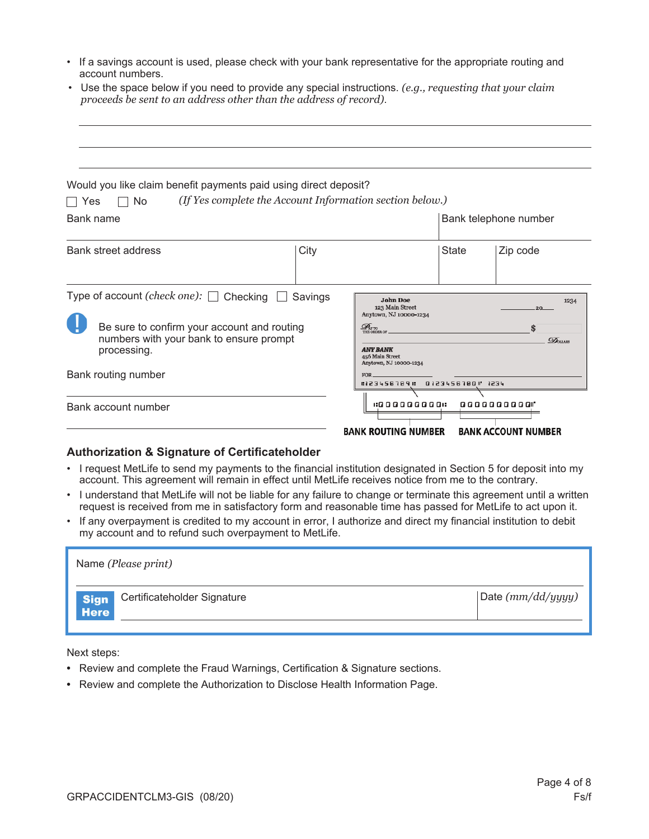- If a savings account is used, please check with your bank representative for the appropriate routing and account numbers.
- Use the space below if you need to provide any special instructions. *(e.g., requesting that your claim proceeds be sent to an address other than the address of record)*.

| Would you like claim benefit payments paid using direct deposit?<br>No<br>l I Yes                                                                |         | (If Yes complete the Account Information section below.)                                                                                                          |       |                                                               |
|--------------------------------------------------------------------------------------------------------------------------------------------------|---------|-------------------------------------------------------------------------------------------------------------------------------------------------------------------|-------|---------------------------------------------------------------|
| Bank name                                                                                                                                        |         |                                                                                                                                                                   |       | Bank telephone number                                         |
| Bank street address                                                                                                                              | City    |                                                                                                                                                                   | State | Zip code                                                      |
| Type of account (check one): □ Checking<br>Be sure to confirm your account and routing<br>numbers with your bank to ensure prompt<br>processing. | Savings | <b>John Doe</b><br>123 Main Street<br>Anytown, NJ 10000-1234<br>$\mathscr{D}_{\text{\tiny{NTD}}}$<br><b>ANY BANK</b><br>456 Main Street<br>Anytown, NJ 10000-1234 |       | 1234<br>20 <sub>1</sub><br>\$<br>$\mathcal{D}_{\text{ouars}}$ |
| Bank routing number                                                                                                                              |         | FOR.<br>123456789 123456780 1234                                                                                                                                  |       |                                                               |
| Bank account number                                                                                                                              |         | 1:000000001<br><b>RANK ROUTING NUMBER</b>                                                                                                                         |       | 00000000001<br><b>RANK ACCOUNT NUMBER</b>                     |

#### **Authorization & Signature of Certificateholder**

- I request MetLife to send my payments to the financial institution designated in Section 5 for deposit into my account. This agreement will remain in effect until MetLife receives notice from me to the contrary.
- I understand that MetLife will not be liable for any failure to change or terminate this agreement until a written request is received from me in satisfactory form and reasonable time has passed for MetLife to act upon it.
- If any overpayment is credited to my account in error, I authorize and direct my financial institution to debit my account and to refund such overpayment to MetLife.

| Name (Please print)                                       |                   |
|-----------------------------------------------------------|-------------------|
| Certificateholder Signature<br><b>Sign</b><br><b>Here</b> | Date (mm/dd/yyyy) |
|                                                           |                   |

Next steps:

- Review and complete the Fraud Warnings, Certification & Signature sections.
- Review and complete the Authorization to Disclose Health Information Page.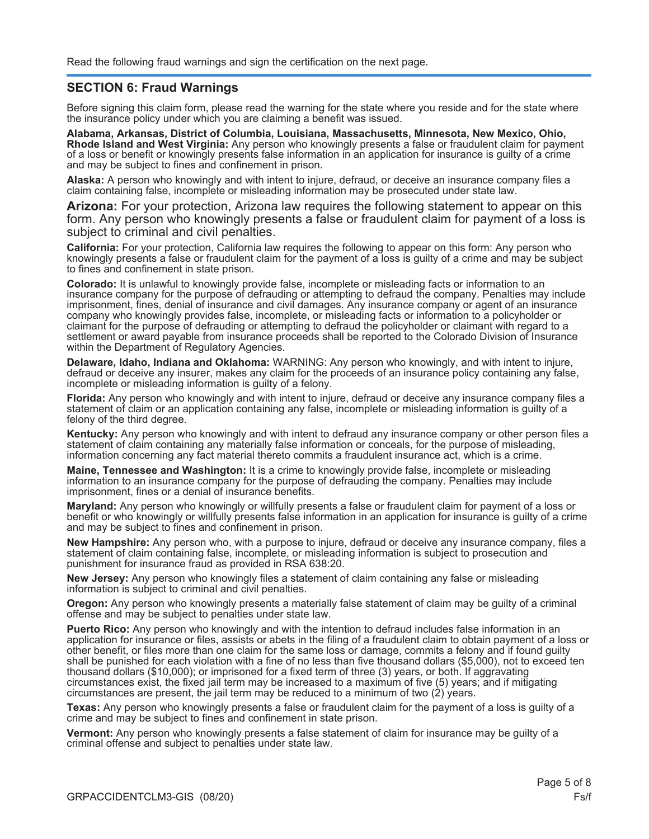### **SECTION 6: Fraud Warnings**

Before signing this claim form, please read the warning for the state where you reside and for the state where the insurance policy under which you are claiming a benefit was issued.

**Alabama, Arkansas, District of Columbia, Louisiana, Massachusetts, Minnesota, New Mexico, Ohio, Rhode Island and West Virginia:** Any person who knowingly presents a false or fraudulent claim for payment of a loss or benefit or knowingly presents false information in an application for insurance is guilty of a crime and may be subject to fines and confinement in prison.

**Alaska:** A person who knowingly and with intent to injure, defraud, or deceive an insurance company files a claim containing false, incomplete or misleading information may be prosecuted under state law.

**Arizona:** For your protection, Arizona law requires the following statement to appear on this form. Any person who knowingly presents a false or fraudulent claim for payment of a loss is subject to criminal and civil penalties.

**California:** For your protection, California law requires the following to appear on this form: Any person who knowingly presents a false or fraudulent claim for the payment of a loss is guilty of a crime and may be subject to fines and confinement in state prison.

**Colorado:** It is unlawful to knowingly provide false, incomplete or misleading facts or information to an insurance company for the purpose of defrauding or attempting to defraud the company. Penalties may include imprisonment, fines, denial of insurance and civil damages. Any insurance company or agent of an insurance company who knowingly provides false, incomplete, or misleading facts or information to a policyholder or claimant for the purpose of defrauding or attempting to defraud the policyholder or claimant with regard to a settlement or award payable from insurance proceeds shall be reported to the Colorado Division of Insurance within the Department of Regulatory Agencies.

**Delaware, Idaho, Indiana and Oklahoma:** WARNING: Any person who knowingly, and with intent to injure, defraud or deceive any insurer, makes any claim for the proceeds of an insurance policy containing any false, incomplete or misleading information is guilty of a felony.

**Florida:** Any person who knowingly and with intent to injure, defraud or deceive any insurance company files a statement of claim or an application containing any false, incomplete or misleading information is guilty of a felony of the third degree.

**Kentucky:** Any person who knowingly and with intent to defraud any insurance company or other person files a statement of claim containing any materially false information or conceals, for the purpose of misleading, information concerning any fact material thereto commits a fraudulent insurance act, which is a crime.

**Maine, Tennessee and Washington:** It is a crime to knowingly provide false, incomplete or misleading information to an insurance company for the purpose of defrauding the company. Penalties may include imprisonment, fines or a denial of insurance benefits.

**Maryland:** Any person who knowingly or willfully presents a false or fraudulent claim for payment of a loss or benefit or who knowingly or willfully presents false information in an application for insurance is guilty of a crime and may be subject to fines and confinement in prison.

**New Hampshire:** Any person who, with a purpose to injure, defraud or deceive any insurance company, files a statement of claim containing false, incomplete, or misleading information is subject to prosecution and punishment for insurance fraud as provided in RSA 638:20.

**New Jersey:** Any person who knowingly files a statement of claim containing any false or misleading information is subject to criminal and civil penalties.

**Oregon:** Any person who knowingly presents a materially false statement of claim may be guilty of a criminal offense and may be subject to penalties under state law.

**Puerto Rico:** Any person who knowingly and with the intention to defraud includes false information in an application for insurance or files, assists or abets in the filing of a fraudulent claim to obtain payment of a loss or other benefit, or files more than one claim for the same loss or damage, commits a felony and if found guilty shall be punished for each violation with a fine of no less than five thousand dollars (\$5,000), not to exceed ten thousand dollars (\$10,000); or imprisoned for a fixed term of three (3) years, or both. If aggravating circumstances exist, the fixed jail term may be increased to a maximum of five (5) years; and if mitigating circumstances are present, the jail term may be reduced to a minimum of two (2) years.

**Texas:** Any person who knowingly presents a false or fraudulent claim for the payment of a loss is guilty of a crime and may be subject to fines and confinement in state prison.

**Vermont:** Any person who knowingly presents a false statement of claim for insurance may be guilty of a criminal offense and subject to penalties under state law.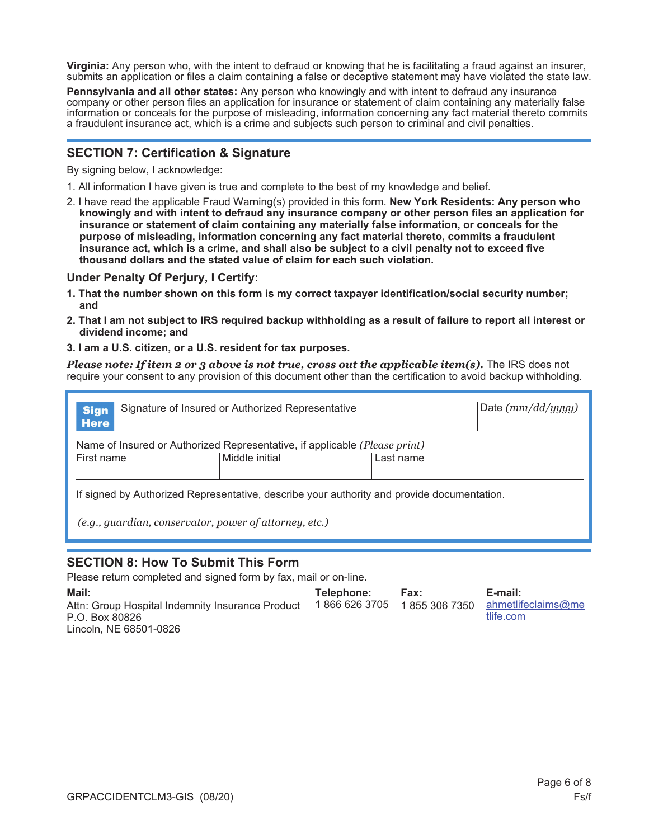**Virginia:** Any person who, with the intent to defraud or knowing that he is facilitating a fraud against an insurer, submits an application or files a claim containing a false or deceptive statement may have violated the state law.

**Pennsylvania and all other states:** Any person who knowingly and with intent to defraud any insurance company or other person files an application for insurance or statement of claim containing any materially false information or conceals for the purpose of misleading, information concerning any fact material thereto commits a fraudulent insurance act, which is a crime and subjects such person to criminal and civil penalties.

### **SECTION 7: Certification & Signature**

By signing below, I acknowledge:

- 1. All information I have given is true and complete to the best of my knowledge and belief.
- 2. I have read the applicable Fraud Warning(s) provided in this form. **New York Residents: Any person who knowingly and with intent to defraud any insurance company or other person files an application for insurance or statement of claim containing any materially false information, or conceals for the purpose of misleading, information concerning any fact material thereto, commits a fraudulent insurance act, which is a crime, and shall also be subject to a civil penalty not to exceed five thousand dollars and the stated value of claim for each such violation.**

#### **Under Penalty Of Perjury, I Certify:**

- **1. That the number shown on this form is my correct taxpayer identification/social security number; and**
- **2. That I am not subject to IRS required backup withholding as a result of failure to report all interest or dividend income; and**
- **3. I am a U.S. citizen, or a U.S. resident for tax purposes.**

*Please note: If item 2 or 3 above is not true, cross out the applicable item(s).* The IRS does not require your consent to any provision of this document other than the certification to avoid backup withholding.

| Signature of Insured or Authorized Representative<br><b>Sign</b><br><b>Here</b>            |           |  |  |  |
|--------------------------------------------------------------------------------------------|-----------|--|--|--|
| Name of Insured or Authorized Representative, if applicable (Please print)                 |           |  |  |  |
| Middle initial                                                                             | Last name |  |  |  |
|                                                                                            |           |  |  |  |
| If signed by Authorized Representative, describe your authority and provide documentation. |           |  |  |  |
| (e.g., guardian, conservator, power of attorney, etc.)                                     |           |  |  |  |
|                                                                                            |           |  |  |  |

### **SECTION 8: How To Submit This Form**

Please return completed and signed form by fax, mail or on-line.

| Mail:                                            | Telephone: | <b>Fax:</b> | E-mail:                                        |
|--------------------------------------------------|------------|-------------|------------------------------------------------|
| Attn: Group Hospital Indemnity Insurance Product |            |             | 1866 626 3705 1855 306 7350 ahmetlifeclaims@me |
| P.O. Box 80826                                   |            |             | tlife.com                                      |
| Lincoln, NE 68501-0826                           |            |             |                                                |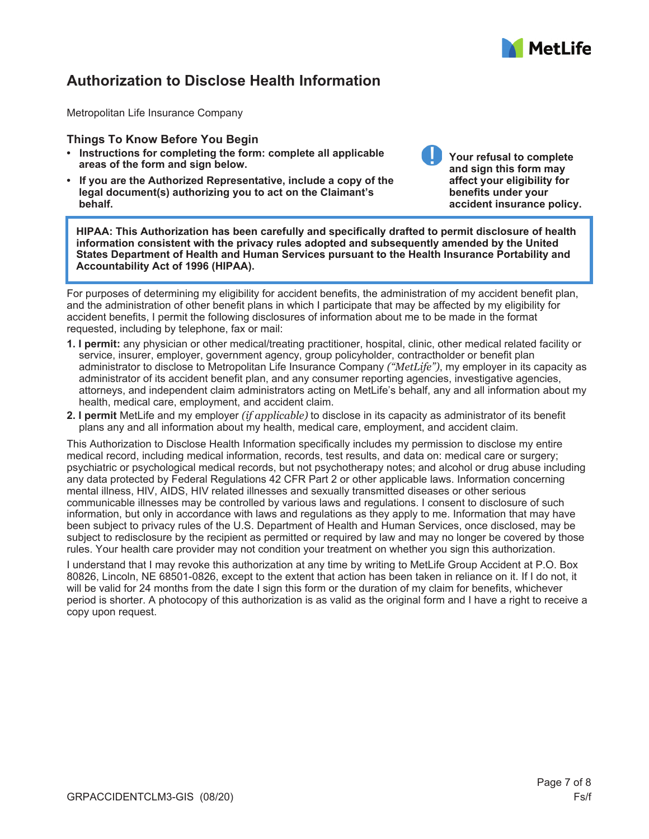

# **Authorization to Disclose Health Information**

Metropolitan Life Insurance Company

#### **Things To Know Before You Begin**

- **Instructions for completing the form: complete all applicable areas of the form and sign below.**
- **If you are the Authorized Representative, include a copy of the legal document(s) authorizing you to act on the Claimant's behalf.**

**Your refusal to complete and sign this form may affect your eligibility for benefits under your accident insurance policy.** 

**HIPAA: This Authorization has been carefully and specifically drafted to permit disclosure of health information consistent with the privacy rules adopted and subsequently amended by the United States Department of Health and Human Services pursuant to the Health Insurance Portability and Accountability Act of 1996 (HIPAA).** 

For purposes of determining my eligibility for accident benefits, the administration of my accident benefit plan, and the administration of other benefit plans in which I participate that may be affected by my eligibility for accident benefits, I permit the following disclosures of information about me to be made in the format requested, including by telephone, fax or mail:

- **1. I permit:** any physician or other medical/treating practitioner, hospital, clinic, other medical related facility or service, insurer, employer, government agency, group policyholder, contractholder or benefit plan administrator to disclose to Metropolitan Life Insurance Company *("MetLife")*, my employer in its capacity as administrator of its accident benefit plan, and any consumer reporting agencies, investigative agencies, attorneys, and independent claim administrators acting on MetLife's behalf, any and all information about my health, medical care, employment, and accident claim.
- **2. I permit** MetLife and my employer *(if applicable)* to disclose in its capacity as administrator of its benefit plans any and all information about my health, medical care, employment, and accident claim.

This Authorization to Disclose Health Information specifically includes my permission to disclose my entire medical record, including medical information, records, test results, and data on: medical care or surgery; psychiatric or psychological medical records, but not psychotherapy notes; and alcohol or drug abuse including any data protected by Federal Regulations 42 CFR Part 2 or other applicable laws. Information concerning mental illness, HIV, AIDS, HIV related illnesses and sexually transmitted diseases or other serious communicable illnesses may be controlled by various laws and regulations. I consent to disclosure of such information, but only in accordance with laws and regulations as they apply to me. Information that may have been subject to privacy rules of the U.S. Department of Health and Human Services, once disclosed, may be subject to redisclosure by the recipient as permitted or required by law and may no longer be covered by those rules. Your health care provider may not condition your treatment on whether you sign this authorization.

I understand that I may revoke this authorization at any time by writing to MetLife Group Accident at P.O. Box 80826, Lincoln, NE 68501-0826, except to the extent that action has been taken in reliance on it. If I do not, it will be valid for 24 months from the date I sign this form or the duration of my claim for benefits, whichever period is shorter. A photocopy of this authorization is as valid as the original form and I have a right to receive a copy upon request.